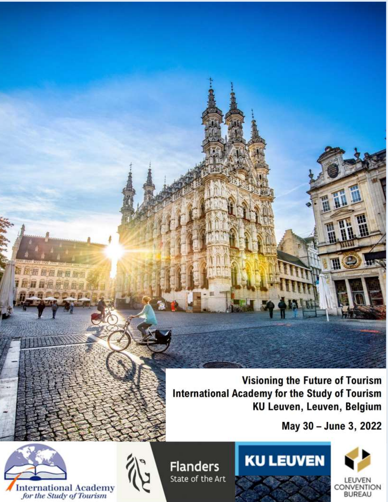**Visioning the Future of Tourism International Academy for the Study of Tourism** KU Leuven, Leuven, Belgium

May 30 - June 3, 2022



第后期困难相同用 **THURBERS** 11 11 12 13 13 14

> **Flanders** State of the Art

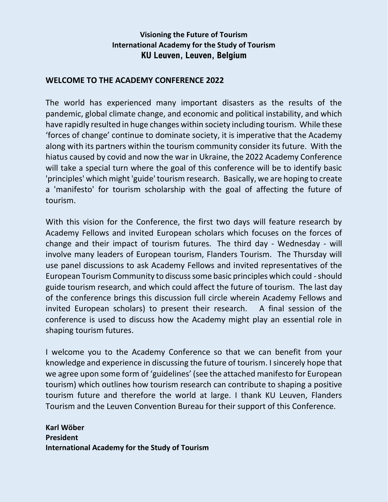## **Visioning the Future of Tourism International Academy for the Study of Tourism KU Leuven, Leuven, Belgium**

## **WELCOME TO THE ACADEMY CONFERENCE 2022**

The world has experienced many important disasters as the results of the pandemic, global climate change, and economic and political instability, and which have rapidly resulted in huge changes within society including tourism. While these 'forces of change' continue to dominate society, it is imperative that the Academy along with its partners within the tourism community consider its future. With the hiatus caused by covid and now the war in Ukraine, the 2022 Academy Conference will take a special turn where the goal of this conference will be to identify basic 'principles' which might 'guide' tourism research. Basically, we are hoping to create a 'manifesto' for tourism scholarship with the goal of affecting the future of tourism.

With this vision for the Conference, the first two days will feature research by Academy Fellows and invited European scholars which focuses on the forces of change and their impact of tourism futures. The third day - Wednesday - will involve many leaders of European tourism, Flanders Tourism. The Thursday will use panel discussions to ask Academy Fellows and invited representatives of the European Tourism Community to discuss some basic principles which could -should guide tourism research, and which could affect the future of tourism. The last day of the conference brings this discussion full circle wherein Academy Fellows and invited European scholars) to present their research. A final session of the conference is used to discuss how the Academy might play an essential role in shaping tourism futures.

I welcome you to the Academy Conference so that we can benefit from your knowledge and experience in discussing the future of tourism. I sincerely hope that we agree upon some form of 'guidelines' (see the attached manifesto for European tourism) which outlines how tourism research can contribute to shaping a positive tourism future and therefore the world at large. I thank KU Leuven, Flanders Tourism and the Leuven Convention Bureau for their support of this Conference.

**Karl Wöber President International Academy for the Study of Tourism**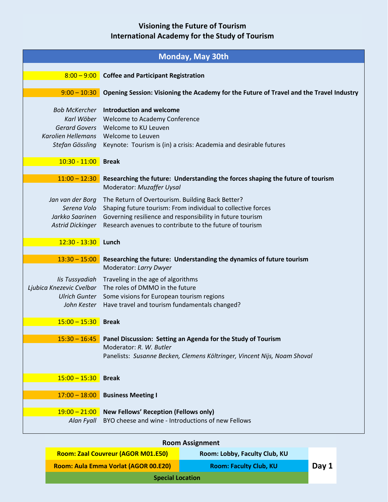| <b>Monday, May 30th</b>                                                       |                                                                                                                                                                                                                                          |  |  |
|-------------------------------------------------------------------------------|------------------------------------------------------------------------------------------------------------------------------------------------------------------------------------------------------------------------------------------|--|--|
|                                                                               | 8:00 - 9:00 Coffee and Participant Registration                                                                                                                                                                                          |  |  |
| $9:00 - 10:30$                                                                | Opening Session: Visioning the Academy for the Future of Travel and the Travel Industry                                                                                                                                                  |  |  |
| Karl Wöber<br><b>Gerard Govers</b><br>Karolien Hellemans<br>Stefan Gössling   | <b>Bob McKercher</b> Introduction and welcome<br>Welcome to Academy Conference<br>Welcome to KU Leuven<br>Welcome to Leuven<br>Keynote: Tourism is (in) a crisis: Academia and desirable futures                                         |  |  |
| $10:30 - 11:00$                                                               | <b>Break</b>                                                                                                                                                                                                                             |  |  |
| $11:00 - 12:30$                                                               | Researching the future: Understanding the forces shaping the future of tourism<br>Moderator: Muzaffer Uysal                                                                                                                              |  |  |
| Jan van der Borg<br>Serena Volo<br>Jarkko Saarinen<br><b>Astrid Dickinger</b> | The Return of Overtourism. Building Back Better?<br>Shaping future tourism: From individual to collective forces<br>Governing resilience and responsibility in future tourism<br>Research avenues to contribute to the future of tourism |  |  |
| 12:30 - 13:30 Lunch                                                           |                                                                                                                                                                                                                                          |  |  |
| $13:30 - 15:00$                                                               | Researching the future: Understanding the dynamics of future tourism<br>Moderator: Larry Dwyer                                                                                                                                           |  |  |
| lis Tussyadiah<br>Ljubica Knezevic Cvelbar                                    | Traveling in the age of algorithms<br>The roles of DMMO in the future<br>Ulrich Gunter Some visions for European tourism regions<br>John Kester Have travel and tourism fundamentals changed?                                            |  |  |
| $15:00 - 15:30$                                                               | <b>Break</b>                                                                                                                                                                                                                             |  |  |
| $15:30 - 16:45$                                                               | Panel Discussion: Setting an Agenda for the Study of Tourism<br>Moderator: R. W. Butler<br>Panelists: Susanne Becken, Clemens Költringer, Vincent Nijs, Noam Shoval                                                                      |  |  |
| $15:00 - 15:30$                                                               | <b>Break</b>                                                                                                                                                                                                                             |  |  |
| $17:00 - 18:00$                                                               | <b>Business Meeting I</b>                                                                                                                                                                                                                |  |  |
| $19:00 - 21:00$<br>Alan Fyall                                                 | <b>New Fellows' Reception (Fellows only)</b><br>BYO cheese and wine - Introductions of new Fellows                                                                                                                                       |  |  |
|                                                                               | Daam Accianman                                                                                                                                                                                                                           |  |  |

| <b>Room Assignment</b>                                                |                               |  |  |
|-----------------------------------------------------------------------|-------------------------------|--|--|
| Room: Zaal Couvreur (AGOR M01.E50)                                    | Room: Lobby, Faculty Club, KU |  |  |
| Room: Aula Emma Vorlat (AGOR 00.E20)<br><b>Room: Faculty Club, KU</b> |                               |  |  |
| <b>Special Location</b>                                               |                               |  |  |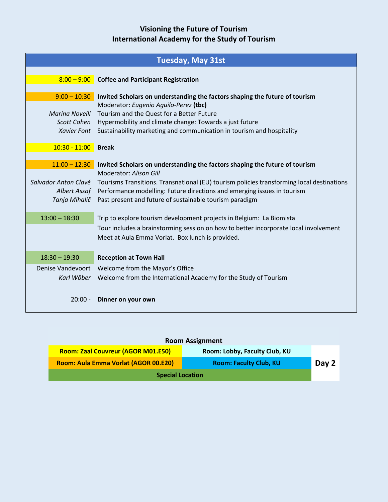|                                                   | 8:00 - 9:00 Coffee and Participant Registration                                                                      |
|---------------------------------------------------|----------------------------------------------------------------------------------------------------------------------|
|                                                   |                                                                                                                      |
| $9:00 - 10:30$                                    | Invited Scholars on understanding the factors shaping the future of tourism<br>Moderator: Eugenio Aguilo-Perez (tbc) |
| Marina Novelli                                    | Tourism and the Quest for a Better Future                                                                            |
| Scott Cohen                                       | Hypermobility and climate change: Towards a just future                                                              |
| <b>Xavier Font</b>                                | Sustainability marketing and communication in tourism and hospitality                                                |
|                                                   |                                                                                                                      |
| $10:30 - 11:00$<br><b>Break</b>                   |                                                                                                                      |
| $11:00 - 12:30$                                   | Invited Scholars on understanding the factors shaping the future of tourism                                          |
|                                                   | <b>Moderator: Alison Gill</b>                                                                                        |
| Salvador Anton Clavé                              | Tourisms Transitions. Transnational (EU) tourism policies transforming local destinations                            |
|                                                   | Albert Assaf Performance modelling: Future directions and emerging issues in tourism                                 |
| Tanja Mihalič                                     | Past present and future of sustainable tourism paradigm                                                              |
| $13:00 - 18:30$                                   | Trip to explore tourism development projects in Belgium: La Biomista                                                 |
|                                                   | Tour includes a brainstorming session on how to better incorporate local involvement                                 |
|                                                   | Meet at Aula Emma Vorlat. Box lunch is provided.                                                                     |
|                                                   |                                                                                                                      |
| $18:30 - 19:30$                                   | <b>Reception at Town Hall</b>                                                                                        |
| Denise Vandevoort Welcome from the Mayor's Office |                                                                                                                      |
| Karl Wöber                                        | Welcome from the International Academy for the Study of Tourism                                                      |
|                                                   |                                                                                                                      |
| $20:00 -$                                         | Dinner on your own                                                                                                   |

| <b>Room Assignment</b>                    |                               |       |  |
|-------------------------------------------|-------------------------------|-------|--|
| <b>Room: Zaal Couvreur (AGOR M01.E50)</b> | Room: Lobby, Faculty Club, KU |       |  |
| Room: Aula Emma Vorlat (AGOR 00.E20)      | <b>Room: Faculty Club, KU</b> | Day 2 |  |
| <b>Special Location</b>                   |                               |       |  |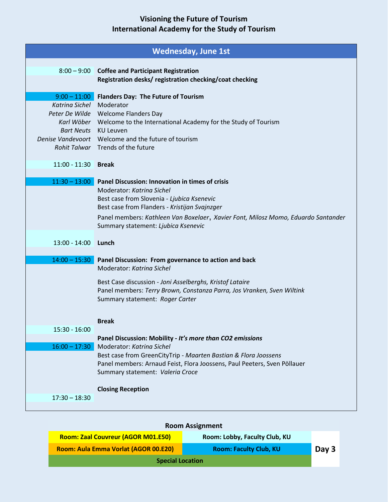|                                                                                           | <b>Wednesday, June 1st</b>                                                                                                                                                                                                                                                                              |
|-------------------------------------------------------------------------------------------|---------------------------------------------------------------------------------------------------------------------------------------------------------------------------------------------------------------------------------------------------------------------------------------------------------|
|                                                                                           | 8:00 - 9:00 Coffee and Participant Registration<br>Registration desks/ registration checking/coat checking                                                                                                                                                                                              |
| $9:00 - 11:00$<br>Katrina Sichel Moderator<br>Bart Neuts KU Leuven<br>11:00 - 11:30 Break | <b>Flanders Day: The Future of Tourism</b><br>Peter De Wilde Welcome Flanders Day<br>Karl Wöber Welcome to the International Academy for the Study of Tourism<br>Denise Vandevoort Welcome and the future of tourism<br>Rohit Talwar Trends of the future                                               |
| $11:30 - 13:00$                                                                           | Panel Discussion: Innovation in times of crisis<br>Moderator: Katrina Sichel<br>Best case from Slovenia - Ljubica Ksenevic<br>Best case from Flanders - Kristijan Svajnzger<br>Panel members: Kathleen Van Boxelaer, Xavier Font, Milosz Momo, Eduardo Santander<br>Summary statement: Ljubica Ksenevic |
| 13:00 - 14:00 Lunch<br>$14:00 - 15:30$                                                    | Panel Discussion: From governance to action and back                                                                                                                                                                                                                                                    |
|                                                                                           | Moderator: Katrina Sichel<br>Best Case discussion - Joni Asselberghs, Kristof Lataire<br>Panel members: Terry Brown, Constanza Parra, Jos Vranken, Sven Wiltink<br>Summary statement: Roger Carter<br><b>Break</b>                                                                                      |
| $15:30 - 16:00$                                                                           | Panel Discussion: Mobility - It's more than CO2 emissions                                                                                                                                                                                                                                               |
| $16:00 - 17:30$                                                                           | Moderator: Katrina Sichel<br>Best case from GreenCityTrip - Maarten Bastian & Flora Joossens<br>Panel members: Arnaud Feist, Flora Joossens, Paul Peeters, Sven Pöllauer<br>Summary statement: Valeria Croce<br><b>Closing Reception</b>                                                                |
| $17:30 - 18:30$                                                                           |                                                                                                                                                                                                                                                                                                         |

| <b>Room Assignment</b>                    |                               |       |  |
|-------------------------------------------|-------------------------------|-------|--|
| <b>Room: Zaal Couvreur (AGOR M01.E50)</b> | Room: Lobby, Faculty Club, KU |       |  |
| Room: Aula Emma Vorlat (AGOR 00.E20)      | <b>Room: Faculty Club, KU</b> | Day 3 |  |
| <b>Special Location</b>                   |                               |       |  |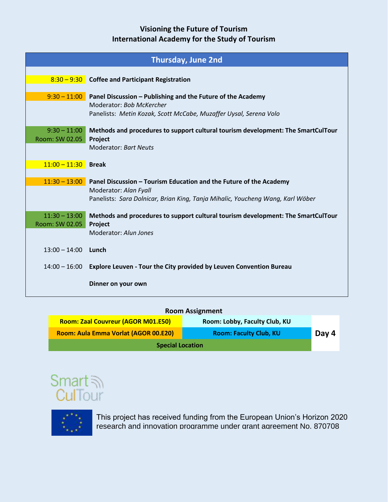| <b>Thursday, June 2nd</b>        |                                                                                             |  |  |
|----------------------------------|---------------------------------------------------------------------------------------------|--|--|
| $8:30 - 9:30$                    | <b>Coffee and Participant Registration</b>                                                  |  |  |
|                                  |                                                                                             |  |  |
| $9:30 - 11:00$                   | Panel Discussion – Publishing and the Future of the Academy<br>Moderator: Bob McKercher     |  |  |
|                                  | Panelists: Metin Kozak, Scott McCabe, Muzaffer Uysal, Serena Volo                           |  |  |
|                                  |                                                                                             |  |  |
| $9:30 - 11:00$<br>Room: SW 02.05 | Methods and procedures to support cultural tourism development: The SmartCulTour<br>Project |  |  |
|                                  | <b>Moderator: Bart Neuts</b>                                                                |  |  |
| $11:00 - 11:30$                  | <b>Break</b>                                                                                |  |  |
|                                  |                                                                                             |  |  |
| $11:30 - 13:00$                  | Panel Discussion - Tourism Education and the Future of the Academy<br>Moderator: Alan Fyall |  |  |
|                                  | Panelists: Sara Dolnicar, Brian King, Tanja Mihalic, Youcheng Wang, Karl Wöber              |  |  |
| $11:30 - 13:00$                  |                                                                                             |  |  |
| Room: SW 02.05                   | Methods and procedures to support cultural tourism development: The SmartCulTour<br>Project |  |  |
|                                  | Moderator: Alun Jones                                                                       |  |  |
| $13:00 - 14:00$                  | Lunch                                                                                       |  |  |
|                                  |                                                                                             |  |  |
| $14:00 - 16:00$                  | Explore Leuven - Tour the City provided by Leuven Convention Bureau                         |  |  |
|                                  | Dinner on your own                                                                          |  |  |
|                                  |                                                                                             |  |  |

| <b>Room Assignment</b>               |                               |       |  |
|--------------------------------------|-------------------------------|-------|--|
| Room: Zaal Couvreur (AGOR M01.E50)   | Room: Lobby, Faculty Club, KU |       |  |
| Room: Aula Emma Vorlat (AGOR 00.E20) | <b>Room: Faculty Club, KU</b> | Day 4 |  |
| <b>Special Location</b>              |                               |       |  |





This project has received funding from the European Union's Horizon 2020 research and innovation programme under grant agreement No. 870708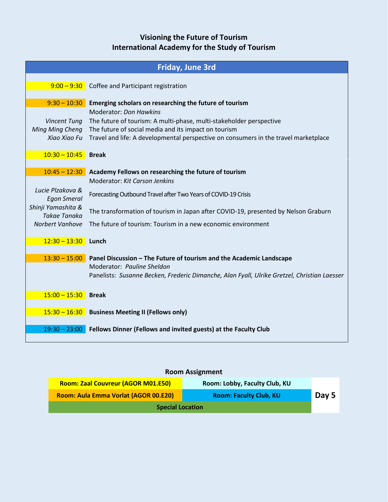|                                           | <b>Friday, June 3rd</b>                                                                              |  |  |  |  |
|-------------------------------------------|------------------------------------------------------------------------------------------------------|--|--|--|--|
|                                           | $9:00 - 9:30$ Coffee and Participant registration                                                    |  |  |  |  |
| $9:30 - 10:30$                            | Emerging scholars on researching the future of tourism                                               |  |  |  |  |
| <b>Vincent Tung</b>                       | <b>Moderator: Don Hawkins</b><br>The future of tourism: A multi-phase, multi-stakeholder perspective |  |  |  |  |
| Ming Ming Cheng                           | The future of social media and its impact on tourism                                                 |  |  |  |  |
| Xiao Xiao Fu                              | Travel and life: A developmental perspective on consumers in the travel marketplace                  |  |  |  |  |
| $10:30 - 10:45$                           | <b>Break</b>                                                                                         |  |  |  |  |
| $10:45 - 12:30$                           | Academy Fellows on researching the future of tourism                                                 |  |  |  |  |
|                                           | Moderator: Kit Carson Jenkins                                                                        |  |  |  |  |
| Lucie Plzakova &<br><b>Egon Smeral</b>    | Forecasting Outbound Travel after Two Years of COVID-19 Crisis                                       |  |  |  |  |
| Shinji Yamashita &<br><b>Takae Tanaka</b> | The transformation of tourism in Japan after COVID-19, presented by Nelson Graburn                   |  |  |  |  |
| Norbert Vanhove                           | The future of tourism: Tourism in a new economic environment                                         |  |  |  |  |
| $12:30 - 13:30$                           | Lunch                                                                                                |  |  |  |  |
| $13:30 - 15:00$                           | Panel Discussion - The Future of tourism and the Academic Landscape                                  |  |  |  |  |
|                                           | Moderator: Pauline Sheldon                                                                           |  |  |  |  |
|                                           | Panelists: Susanne Becken, Frederic Dimanche, Alan Fyall, Ulrike Gretzel, Christian Laesser          |  |  |  |  |
| $15:00 - 15:30$                           | <b>Break</b>                                                                                         |  |  |  |  |
| $15:30 - 16:30$                           | <b>Business Meeting II (Fellows only)</b>                                                            |  |  |  |  |
| $19:30 - 23:00$                           | Fellows Dinner (Fellows and invited guests) at the Faculty Club                                      |  |  |  |  |

## **Room Assignment**

| Room: Zaal Couvreur (AGOR M01.E50)   | Room: Lobby, Faculty Club, KU |       |
|--------------------------------------|-------------------------------|-------|
| Room: Aula Emma Vorlat (AGOR 00.E20) | <b>Room: Faculty Club, KU</b> | Day 5 |
| <b>Special Location</b>              |                               |       |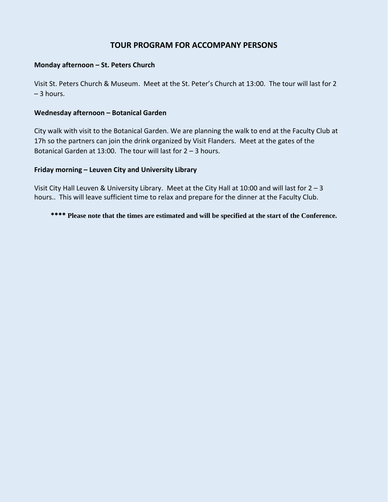## **TOUR PROGRAM FOR ACCOMPANY PERSONS**

#### **Monday afternoon – St. Peters Church**

Visit St. Peters Church & Museum. Meet at the St. Peter's Church at 13:00. The tour will last for 2 – 3 hours.

#### **Wednesday afternoon – Botanical Garden**

City walk with visit to the Botanical Garden. We are planning the walk to end at the Faculty Club at 17h so the partners can join the drink organized by Visit Flanders. Meet at the gates of the Botanical Garden at 13:00. The tour will last for 2 – 3 hours.

#### **Friday morning – Leuven City and University Library**

Visit City Hall Leuven & University Library. Meet at the City Hall at 10:00 and will last for  $2 - 3$ hours.. This will leave sufficient time to relax and prepare for the dinner at the Faculty Club.

\*\*\*\* **Please note that the times are estimated and will be specified at the start of the Conference.**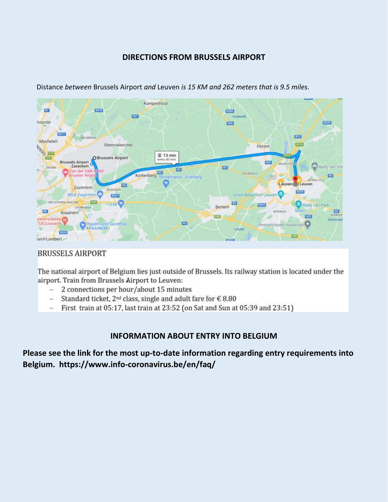## **DIRECTIONS FROM BRUSSELS AIRPORT**



Distance *between* Brussels Airport *and* Leuven *is 15 KM and 262 meters that is 9.5 miles.*

## **BRUSSELS AIRPORT**

The national airport of Belgium lies just outside of Brussels. Its railway station is located under the airport. Train from Brussels Airport to Leuven:

- 2 connections per hour/about 15 minutes  $\frac{1}{2}$
- Standard ticket, 2<sup>nd</sup> class, single and adult fare for € 8.80  $\overline{a}$
- First train at 05:17, last train at 23:52 (on Sat and Sun at 05:39 and 23:51)

## **INFORMATION ABOUT ENTRY INTO BELGIUM**

**Please see the link for the most up-to-date information regarding entry requirements into Belgium. https://www.info-coronavirus.be/en/faq/**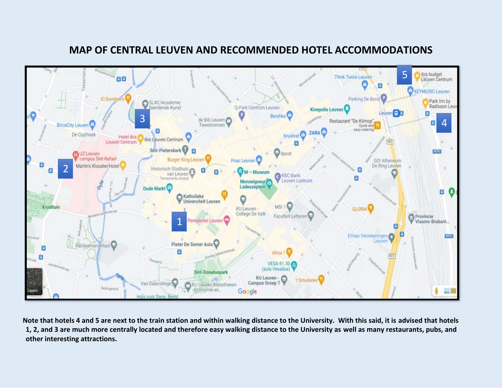

# **MAP OF CENTRAL LEUVEN AND RECOMMENDED HOTEL ACCOMMODATIONS**

**Note that hotels 4 and 5 are next to the train station and within walking distance to the University. With this said, it is advised that hotels 1, 2, and 3 are much more centrally located and therefore easy walking distance to the University as well as many restaurants, pubs, and other interesting attractions.**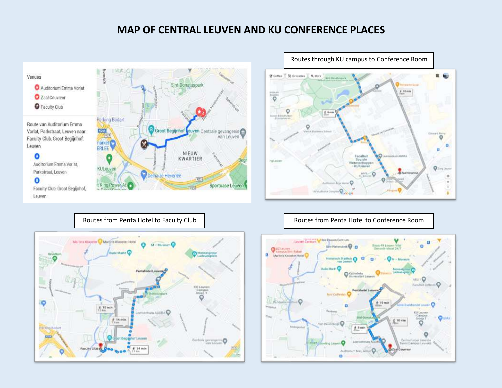## **MAP OF CENTRAL LEUVEN AND KU CONFERENCE PLACES**







Routes from Penta Hotel to Faculty Club | Routes from Penta Hotel to Conference Room

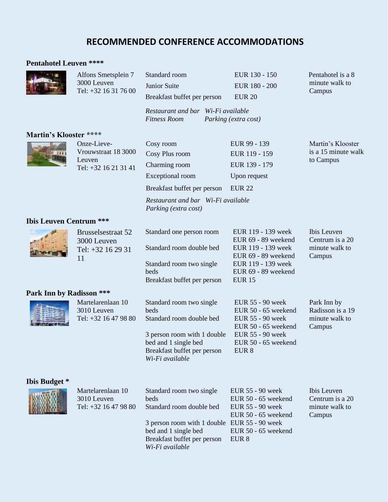# **RECOMMENDED CONFERENCE ACCOMMODATIONS**

#### **Pentahotel Leuven \*\*\*\***

|                                | Alfons Smetsplein 7<br>3000 Leuven<br>Tel: +32 16 31 76 00           | Standard room<br>Junior Suite<br>Breakfast buffet per person<br>Restaurant and bar Wi-Fi available<br><b>Fitness Room</b>                                                              | EUR 130 - 150<br>EUR 180 - 200<br><b>EUR 20</b><br>Parking (extra cost)                                                                              | Pentahotel is a 8<br>minute walk to<br>Campus               |
|--------------------------------|----------------------------------------------------------------------|----------------------------------------------------------------------------------------------------------------------------------------------------------------------------------------|------------------------------------------------------------------------------------------------------------------------------------------------------|-------------------------------------------------------------|
| Martin's Klooster ****         |                                                                      |                                                                                                                                                                                        |                                                                                                                                                      |                                                             |
|                                | Onze-Lieve-<br>Vrouwstraat 18 3000<br>Leuven<br>Tel: +32 16 21 31 41 | Cosy room<br>Cosy Plus room<br>Charming room<br>Exceptional room<br>Breakfast buffet per person<br>Restaurant and bar Wi-Fi available<br>Parking (extra cost)                          | EUR 99 - 139<br>EUR 119 - 159<br>EUR 139 - 179<br>Upon request<br><b>EUR 22</b>                                                                      | Martin's Klooster<br>is a 15 minute walk<br>to Campus       |
| <b>Ibis Leuven Centrum ***</b> |                                                                      |                                                                                                                                                                                        |                                                                                                                                                      |                                                             |
|                                | <b>Brusselsestraat 52</b><br>3000 Leuven<br>Tel: +32 16 29 31<br>11  | Standard one person room<br>Standard room double bed<br>Standard room two single<br>beds<br>Breakfast buffet per person                                                                | EUR 119 - 139 week<br>EUR 69 - 89 weekend<br>EUR 119 - 139 week<br>EUR 69 - 89 weekend<br>EUR 119 - 139 week<br>EUR 69 - 89 weekend<br><b>EUR 15</b> | Ibis Leuven<br>Centrum is a 20<br>minute walk to<br>Campus  |
| Park Inn by Radisson ***       |                                                                      |                                                                                                                                                                                        |                                                                                                                                                      |                                                             |
|                                | Martelarenlaan 10<br>3010 Leuven<br>Tel: +32 16 47 98 80             | Standard room two single<br>beds<br>Standard room double bed<br>3 person room with 1 double<br>bed and 1 single bed<br>Breakfast buffet per person<br>Wi-Fi available                  | EUR 55 - 90 week<br>EUR 50 - 65 weekend<br>EUR 55 - 90 week<br>EUR 50 - 65 weekend<br>EUR 55 - 90 week<br>EUR 50 - 65 weekend<br>EUR 8               | Park Inn by<br>Radisson is a 19<br>minute walk to<br>Campus |
| <b>Ibis Budget</b> *           | Martelarenlaan 10<br>3010 Leuven<br>Tel: +32 16 47 98 80             | Standard room two single<br>beds<br>Standard room double bed<br>3 person room with 1 double EUR 55 - 90 week<br>bed and 1 single bed<br>Breakfast buffet per person<br>Wi-Fi available | EUR 55 - 90 week<br>EUR 50 - 65 weekend<br>EUR 55 - 90 week<br>EUR 50 - 65 weekend<br>EUR 50 - 65 weekend<br>EUR <sub>8</sub>                        | Ibis Leuven<br>Centrum is a 20<br>minute walk to<br>Campus  |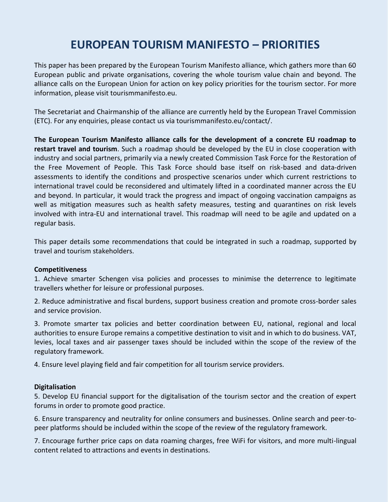# **EUROPEAN TOURISM MANIFESTO – PRIORITIES**

This paper has been prepared by the European Tourism Manifesto alliance, which gathers more than 60 European public and private organisations, covering the whole tourism value chain and beyond. The alliance calls on the European Union for action on key policy priorities for the tourism sector. For more information, please visit tourismmanifesto.eu.

The Secretariat and Chairmanship of the alliance are currently held by the European Travel Commission (ETC). For any enquiries, please contact us via tourismmanifesto.eu/contact/.

**The European Tourism Manifesto alliance calls for the development of a concrete EU roadmap to restart travel and tourism**. Such a roadmap should be developed by the EU in close cooperation with industry and social partners, primarily via a newly created Commission Task Force for the Restoration of the Free Movement of People. This Task Force should base itself on risk-based and data-driven assessments to identify the conditions and prospective scenarios under which current restrictions to international travel could be reconsidered and ultimately lifted in a coordinated manner across the EU and beyond. In particular, it would track the progress and impact of ongoing vaccination campaigns as well as mitigation measures such as health safety measures, testing and quarantines on risk levels involved with intra-EU and international travel. This roadmap will need to be agile and updated on a regular basis.

This paper details some recommendations that could be integrated in such a roadmap, supported by travel and tourism stakeholders.

#### **Competitiveness**

1. Achieve smarter Schengen visa policies and processes to minimise the deterrence to legitimate travellers whether for leisure or professional purposes.

2. Reduce administrative and fiscal burdens, support business creation and promote cross-border sales and service provision.

3. Promote smarter tax policies and better coordination between EU, national, regional and local authorities to ensure Europe remains a competitive destination to visit and in which to do business. VAT, levies, local taxes and air passenger taxes should be included within the scope of the review of the regulatory framework.

4. Ensure level playing field and fair competition for all tourism service providers.

#### **Digitalisation**

5. Develop EU financial support for the digitalisation of the tourism sector and the creation of expert forums in order to promote good practice.

6. Ensure transparency and neutrality for online consumers and businesses. Online search and peer-topeer platforms should be included within the scope of the review of the regulatory framework.

7. Encourage further price caps on data roaming charges, free WiFi for visitors, and more multi-lingual content related to attractions and events in destinations.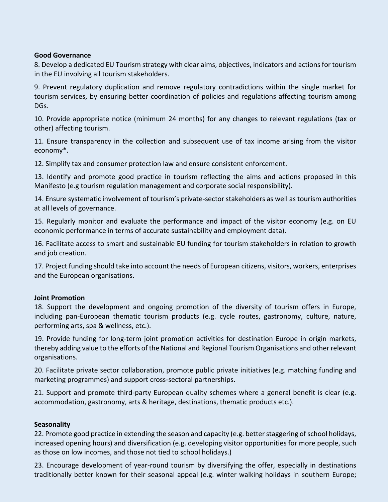#### **Good Governance**

8. Develop a dedicated EU Tourism strategy with clear aims, objectives, indicators and actions for tourism in the EU involving all tourism stakeholders.

9. Prevent regulatory duplication and remove regulatory contradictions within the single market for tourism services, by ensuring better coordination of policies and regulations affecting tourism among DGs.

10. Provide appropriate notice (minimum 24 months) for any changes to relevant regulations (tax or other) affecting tourism.

11. Ensure transparency in the collection and subsequent use of tax income arising from the visitor economy\*.

12. Simplify tax and consumer protection law and ensure consistent enforcement.

13. Identify and promote good practice in tourism reflecting the aims and actions proposed in this Manifesto (e.g tourism regulation management and corporate social responsibility).

14. Ensure systematic involvement of tourism's private-sector stakeholders as well as tourism authorities at all levels of governance.

15. Regularly monitor and evaluate the performance and impact of the visitor economy (e.g. on EU economic performance in terms of accurate sustainability and employment data).

16. Facilitate access to smart and sustainable EU funding for tourism stakeholders in relation to growth and job creation.

17. Project funding should take into account the needs of European citizens, visitors, workers, enterprises and the European organisations.

#### **Joint Promotion**

18. Support the development and ongoing promotion of the diversity of tourism offers in Europe, including pan-European thematic tourism products (e.g. cycle routes, gastronomy, culture, nature, performing arts, spa & wellness, etc.).

19. Provide funding for long-term joint promotion activities for destination Europe in origin markets, thereby adding value to the efforts of the National and Regional Tourism Organisations and other relevant organisations.

20. Facilitate private sector collaboration, promote public private initiatives (e.g. matching funding and marketing programmes) and support cross-sectoral partnerships.

21. Support and promote third-party European quality schemes where a general benefit is clear (e.g. accommodation, gastronomy, arts & heritage, destinations, thematic products etc.).

#### **Seasonality**

22. Promote good practice in extending the season and capacity (e.g. better staggering of school holidays, increased opening hours) and diversification (e.g. developing visitor opportunities for more people, such as those on low incomes, and those not tied to school holidays.)

23. Encourage development of year-round tourism by diversifying the offer, especially in destinations traditionally better known for their seasonal appeal (e.g. winter walking holidays in southern Europe;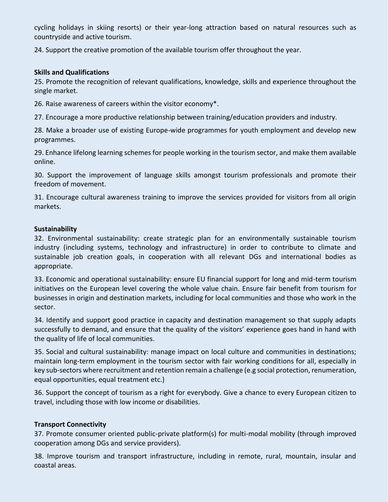cycling holidays in skiing resorts) or their year-long attraction based on natural resources such as countryside and active tourism.

24. Support the creative promotion of the available tourism offer throughout the year.

#### **Skills and Qualifications**

25. Promote the recognition of relevant qualifications, knowledge, skills and experience throughout the single market.

26. Raise awareness of careers within the visitor economy\*.

27. Encourage a more productive relationship between training/education providers and industry.

28. Make a broader use of existing Europe-wide programmes for youth employment and develop new programmes.

29. Enhance lifelong learning schemes for people working in the tourism sector, and make them available online.

30. Support the improvement of language skills amongst tourism professionals and promote their freedom of movement.

31. Encourage cultural awareness training to improve the services provided for visitors from all origin markets.

#### **Sustainability**

32. Environmental sustainability: create strategic plan for an environmentally sustainable tourism industry (including systems, technology and infrastructure) in order to contribute to climate and sustainable job creation goals, in cooperation with all relevant DGs and international bodies as appropriate.

33. Economic and operational sustainability: ensure EU financial support for long and mid-term tourism initiatives on the European level covering the whole value chain. Ensure fair benefit from tourism for businesses in origin and destination markets, including for local communities and those who work in the sector.

34. Identify and support good practice in capacity and destination management so that supply adapts successfully to demand, and ensure that the quality of the visitors' experience goes hand in hand with the quality of life of local communities.

35. Social and cultural sustainability: manage impact on local culture and communities in destinations; maintain long-term employment in the tourism sector with fair working conditions for all, especially in key sub-sectors where recruitment and retention remain a challenge (e.g social protection, renumeration, equal opportunities, equal treatment etc.)

36. Support the concept of tourism as a right for everybody. Give a chance to every European citizen to travel, including those with low income or disabilities.

#### **Transport Connectivity**

37. Promote consumer oriented public-private platform(s) for multi-modal mobility (through improved cooperation among DGs and service providers).

38. Improve tourism and transport infrastructure, including in remote, rural, mountain, insular and coastal areas.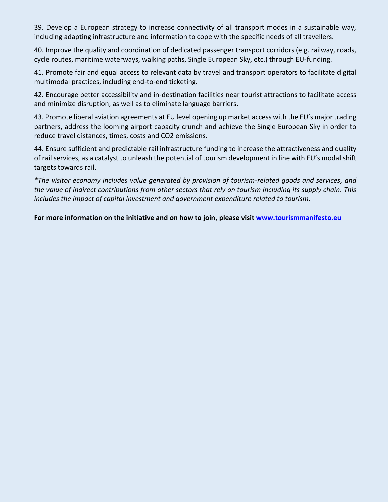39. Develop a European strategy to increase connectivity of all transport modes in a sustainable way, including adapting infrastructure and information to cope with the specific needs of all travellers.

40. Improve the quality and coordination of dedicated passenger transport corridors (e.g. railway, roads, cycle routes, maritime waterways, walking paths, Single European Sky, etc.) through EU-funding.

41. Promote fair and equal access to relevant data by travel and transport operators to facilitate digital multimodal practices, including end-to-end ticketing.

42. Encourage better accessibility and in-destination facilities near tourist attractions to facilitate access and minimize disruption, as well as to eliminate language barriers.

43. Promote liberal aviation agreements at EU level opening up market access with the EU's major trading partners, address the looming airport capacity crunch and achieve the Single European Sky in order to reduce travel distances, times, costs and CO2 emissions.

44. Ensure sufficient and predictable rail infrastructure funding to increase the attractiveness and quality of rail services, as a catalyst to unleash the potential of tourism development in line with EU's modal shift targets towards rail.

*\*The visitor economy includes value generated by provision of tourism-related goods and services, and the value of indirect contributions from other sectors that rely on tourism including its supply chain. This includes the impact of capital investment and government expenditure related to tourism.* 

**For more information on the initiative and on how to join, please visit www.tourismmanifesto.eu**